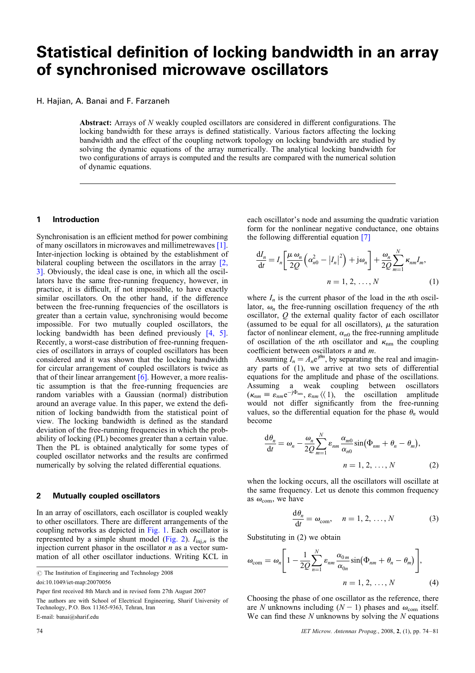# Statistical definition of locking bandwidth in an array of synchronised microwave oscillators

H. Hajian, A. Banai and F. Farzaneh

Abstract: Arrays of N weakly coupled oscillators are considered in different configurations. The locking bandwidth for these arrays is defined statistically. Various factors affecting the locking bandwidth and the effect of the coupling network topology on locking bandwidth are studied by solving the dynamic equations of the array numerically. The analytical locking bandwidth for two configurations of arrays is computed and the results are compared with the numerical solution of dynamic equations.

### 1 Introduction

Synchronisation is an efficient method for power combining of many oscillators in microwaves and millimetrewaves [1]. Inter-injection locking is obtained by the establishment of bilateral coupling between the oscillators in the array [2, 3]. Obviously, the ideal case is one, in which all the oscillators have the same free-running frequency, however, in practice, it is difficult, if not impossible, to have exactly similar oscillators. On the other hand, if the difference between the free-running frequencies of the oscillators is greater than a certain value, synchronising would become impossible. For two mutually coupled oscillators, the locking bandwidth has been defined previously [4, 5]. Recently, a worst-case distribution of free-running frequencies of oscillators in arrays of coupled oscillators has been considered and it was shown that the locking bandwidth for circular arrangement of coupled oscillators is twice as that of their linear arrangement  $[6]$ . However, a more realistic assumption is that the free-running frequencies are random variables with a Gaussian (normal) distribution around an average value. In this paper, we extend the definition of locking bandwidth from the statistical point of view. The locking bandwidth is defined as the standard deviation of the free-running frequencies in which the probability of locking (PL) becomes greater than a certain value. Then the PL is obtained analytically for some types of coupled oscillator networks and the results are confirmed numerically by solving the related differential equations.

## 2 Mutually coupled oscillators

In an array of oscillators, each oscillator is coupled weakly to other oscillators. There are different arrangements of the coupling networks as depicted in Fig. 1. Each oscillator is represented by a simple shunt model (Fig. 2).  $I_{\text{ini},n}$  is the injection current phasor in the oscillator  $n$  as a vector summation of all other oscillator inductions. Writing KCL in

doi:10.1049/iet-map:20070056

each oscillator's node and assuming the quadratic variation form for the nonlinear negative conductance, one obtains the following differential equation [7]

$$
\frac{dI_n}{dt} = I_n \left[ \frac{\mu \omega_n}{2Q} \left( \alpha_{n0}^2 - |I_n|^2 \right) + j \omega_n \right] + \frac{\omega_n}{2Q} \sum_{m=1}^N \kappa_{nm} I_m,
$$
  

$$
n = 1, 2, ..., N
$$
 (1)

where  $I_n$  is the current phasor of the load in the *n*th oscillator,  $\omega_n$  the free-running oscillation frequency of the *n*th oscillator,  $Q$  the external quality factor of each oscillator (assumed to be equal for all oscillators),  $\mu$  the saturation factor of nonlinear element,  $\alpha_{n0}$  the free-running amplitude of oscillation of the *n*th oscillator and  $\kappa$ <sub>nm</sub> the coupling coefficient between oscillators  $n$  and  $m$ .

Assuming  $I_n = A_n e^{j\theta n}$ , by separating the real and imaginary parts of (1), we arrive at two sets of differential equations for the amplitude and phase of the oscillations. Assuming a weak coupling between oscillators  $(\kappa_{nm} \equiv \varepsilon_{nm}e^{-j\Phi_{nm}}, \varepsilon_{nm} \langle \langle 1 \rangle, \text{ the oscillation amplitude}$ would not differ significantly from the free-running values, so the differential equation for the phase  $\theta_n$  would become

$$
\frac{d\theta_n}{dt} = \omega_n - \frac{\omega_n}{2Q} \sum_{m=1}^N \varepsilon_{nm} \frac{\alpha_{m0}}{\alpha_{n0}} \sin(\Phi_{nm} + \theta_n - \theta_m),
$$
  

$$
n = 1, 2, ..., N
$$
 (2)

when the locking occurs, all the oscillators will oscillate at the same frequency. Let us denote this common frequency as  $\omega_{\text{com}}$ , we have

$$
\frac{\mathrm{d}\theta_n}{\mathrm{d}t} = \omega_{\text{com}}, \quad n = 1, 2, \dots, N \tag{3}
$$

Substituting in (2) we obtain

$$
\omega_{\text{com}} = \omega_n \left[ 1 - \frac{1}{2Q} \sum_{n=1}^{N} \varepsilon_{nm} \frac{\alpha_{0m}}{\alpha_{0n}} \sin(\Phi_{nm} + \theta_n - \theta_m) \right],
$$
  

$$
n = 1, 2, ..., N
$$
 (4)

Choosing the phase of one oscillator as the reference, there are N unknowns including  $(N - 1)$  phases and  $\omega_{com}$  itself. We can find these  $N$  unknowns by solving the  $N$  equations

 $\odot$  The Institution of Engineering and Technology 2008

Paper first received 8th March and in revised form 27th August 2007

The authors are with School of Electrical Engineering, Sharif University of Technology, P.O. Box 11365-9363, Tehran, Iran E-mail: banai@sharif.edu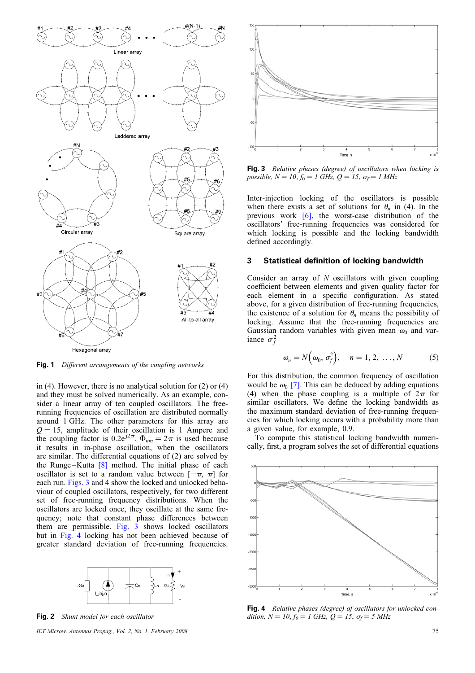

Fig. 1 Different arrangements of the coupling networks

in (4). However, there is no analytical solution for (2) or (4) and they must be solved numerically. As an example, consider a linear array of ten coupled oscillators. The freerunning frequencies of oscillation are distributed normally around 1 GHz. The other parameters for this array are  $Q = 15$ , amplitude of their oscillation is 1 Ampere and the coupling factor is 0.2e<sup>j2 $\pi$ </sup>.  $\Phi_{nm} = 2\pi$  is used because it results in in-phase oscillation, when the oscillators are similar. The differential equations of (2) are solved by the Runge-Kutta  $[8]$  method. The initial phase of each oscillator is set to a random value between  $[-\pi, \pi]$  for each run. Figs. 3 and 4 show the locked and unlocked behaviour of coupled oscillators, respectively, for two different set of free-running frequency distributions. When the oscillators are locked once, they oscillate at the same frequency; note that constant phase differences between them are permissible. Fig. 3 shows locked oscillators but in Fig. 4 locking has not been achieved because of greater standard deviation of free-running frequencies.



Fig. 2 Shunt model for each oscillator

IET Microw. Antennas Propag., Vol. 2, No. 1, February 2008 75



Fig. 3 Relative phases (degree) of oscillators when locking is possible,  $N = 10, f_0 = 1$  GHz,  $Q = 15, \sigma_f = 1$  MHz

Inter-injection locking of the oscillators is possible when there exists a set of solutions for  $\theta_n$  in (4). In the previous work [6], the worst-case distribution of the oscillators' free-running frequencies was considered for which locking is possible and the locking bandwidth defined accordingly.

## 3 Statistical definition of locking bandwidth

Consider an array of  $N$  oscillators with given coupling coefficient between elements and given quality factor for each element in a specific configuration. As stated above, for a given distribution of free-running frequencies, the existence of a solution for  $\theta_n$  means the possibility of locking. Assume that the free-running frequencies are Gaussian random variables with given mean  $\omega_0$  and variance  $\sigma_f^2$ 

$$
\omega_n = N\Big(\omega_0, \sigma_f^2\Big), \quad n = 1, 2, \ldots, N \tag{5}
$$

For this distribution, the common frequency of oscillation would be  $\omega_0$  [7]. This can be deduced by adding equations (4) when the phase coupling is a multiple of  $2\pi$  for similar oscillators. We define the locking bandwidth as the maximum standard deviation of free-running frequencies for which locking occurs with a probability more than a given value, for example, 0.9.

To compute this statistical locking bandwidth numerically, first, a program solves the set of differential equations



Fig. 4 Relative phases (degree) of oscillators for unlocked condition,  $N = 10, f_0 = 1$  GHz,  $Q = 15, \sigma_f = 5$  MHz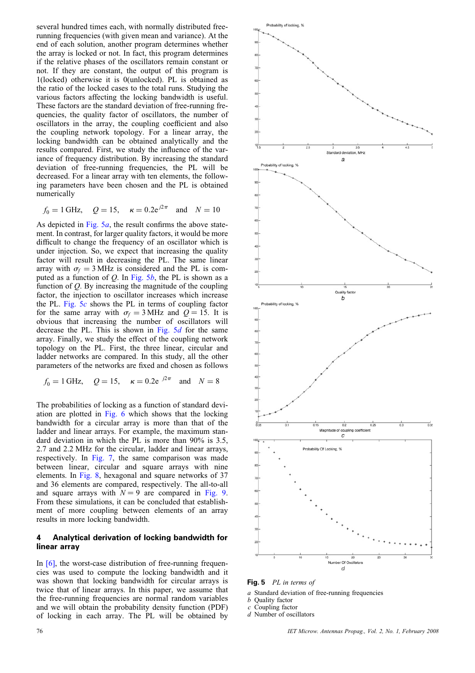several hundred times each, with normally distributed freerunning frequencies (with given mean and variance). At the end of each solution, another program determines whether the array is locked or not. In fact, this program determines if the relative phases of the oscillators remain constant or not. If they are constant, the output of this program is 1(locked) otherwise it is 0(unlocked). PL is obtained as the ratio of the locked cases to the total runs. Studying the various factors affecting the locking bandwidth is useful. These factors are the standard deviation of free-running frequencies, the quality factor of oscillators, the number of oscillators in the array, the coupling coefficient and also the coupling network topology. For a linear array, the locking bandwidth can be obtained analytically and the results compared. First, we study the influence of the variance of frequency distribution. By increasing the standard deviation of free-running frequencies, the PL will be decreased. For a linear array with ten elements, the following parameters have been chosen and the PL is obtained numerically

$$
f_0 = 1 \text{ GHz}, \quad Q = 15, \quad \kappa = 0.2 e^{j2\pi} \text{ and } N = 10
$$

As depicted in Fig.  $5a$ , the result confirms the above statement. In contrast, for larger quality factors, it would be more difficult to change the frequency of an oscillator which is under injection. So, we expect that increasing the quality factor will result in decreasing the PL. The same linear array with  $\sigma_f = 3 \text{ MHz}$  is considered and the PL is computed as a function of  $Q$ . In Fig. 5b, the PL is shown as a function of  $Q$ . By increasing the magnitude of the coupling factor, the injection to oscillator increases which increase the PL. Fig.  $5c$  shows the PL in terms of coupling factor for the same array with  $\sigma_f = 3 \text{ MHz}$  and  $Q = 15$ . It is obvious that increasing the number of oscillators will decrease the PL. This is shown in Fig.  $5d$  for the same array. Finally, we study the effect of the coupling network topology on the PL. First, the three linear, circular and ladder networks are compared. In this study, all the other parameters of the networks are fixed and chosen as follows

$$
f_0 = 1 \text{ GHz}, \quad Q = 15, \quad \kappa = 0.2 e^{j2\pi} \text{ and } N = 8
$$

The probabilities of locking as a function of standard deviation are plotted in Fig. 6 which shows that the locking bandwidth for a circular array is more than that of the ladder and linear arrays. For example, the maximum standard deviation in which the PL is more than 90% is 3.5, 2.7 and 2.2 MHz for the circular, ladder and linear arrays, respectively. In Fig. 7, the same comparison was made between linear, circular and square arrays with nine elements. In Fig. 8, hexagonal and square networks of 37 and 36 elements are compared, respectively. The all-to-all and square arrays with  $N = 9$  are compared in Fig. 9. From these simulations, it can be concluded that establishment of more coupling between elements of an array results in more locking bandwidth.

## 4 Analytical derivation of locking bandwidth for linear array

In  $[6]$ , the worst-case distribution of free-running frequencies was used to compute the locking bandwidth and it was shown that locking bandwidth for circular arrays is twice that of linear arrays. In this paper, we assume that the free-running frequencies are normal random variables and we will obtain the probability density function (PDF) of locking in each array. The PL will be obtained by



Fig. 5 PL in terms of

a Standard deviation of free-running frequencies

b Quality factor

 $c$  Coupling factor

d Number of oscillators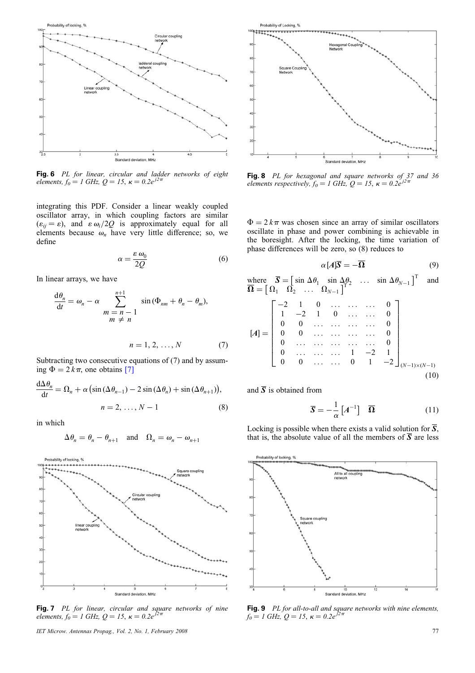

Fig. 6 PL for linear, circular and ladder networks of eight elements,  $f_0 = 1$  GHz,  $Q = 15$ ,  $\kappa = 0.2e^{j2\pi}$ 

integrating this PDF. Consider a linear weakly coupled oscillator array, in which coupling factors are similar  $(\varepsilon_{ij} = \varepsilon)$ , and  $\varepsilon \omega_i/2Q$  is approximately equal for all elements because  $\omega_n$  have very little difference; so, we define

$$
\alpha = \frac{\varepsilon \,\omega_0}{2Q} \tag{6}
$$

In linear arrays, we have

$$
\frac{d\theta_n}{dt} = \omega_n - \alpha \sum_{\substack{m = n - 1 \\ m \neq n}}^{n+1} \sin(\Phi_{nm} + \theta_n - \theta_m),
$$

$$
n = 1, 2, \dots, N \tag{7}
$$

Subtracting two consecutive equations of (7) and by assuming  $\Phi = 2 k \pi$ , one obtains [7]

$$
\frac{d\Delta\theta_n}{dt} = \Omega_n + \alpha \left( \sin \left( \Delta\theta_{n-1} \right) - 2\sin \left( \Delta\theta_n \right) + \sin \left( \Delta\theta_{n+1} \right) \right),
$$
  
\n
$$
n = 2, \dots, N - 1 \tag{8}
$$

in which

$$
\Delta \theta_n = \theta_n - \theta_{n+1} \quad \text{and} \quad \Omega_n = \omega_n - \omega_{n+1}
$$



**Fig. 7** PL for linear, circular and square networks of nine elements,  $f_0 = 1$  GHz,  $Q = 15$ ,  $\kappa = 0.2e^{j2\pi}$ 

IET Microw. Antennas Propag., Vol. 2, No. 1, February 2008 77



**Fig. 8** PL for hexagonal and square networks of 37 and 36 elements respectively,  $f_0 = 1$  GHz,  $Q = 15$ ,  $\kappa = 0.2e^{j2\pi}$ 

 $\Phi = 2 k \pi$  was chosen since an array of similar oscillators oscillate in phase and power combining is achievable in the boresight. After the locking, the time variation of phase differences will be zero, so (8) reduces to

$$
\alpha [A]\overline{S} = -\overline{\Omega} \tag{9}
$$

where  $\overline{S} = [\sin \Delta \theta_1 \sin \Delta \theta_2 \dots \sin \Delta \theta_{N-1}]^T$  and  $\overline{\Omega} = \begin{bmatrix} \Omega_1 & \Omega_2 & \dots & \Omega_{N-1} \end{bmatrix}^T$ 

$$
[A] = \begin{bmatrix} -2 & 1 & 0 & \dots & \dots & 0 \\ 1 & -2 & 1 & 0 & \dots & 0 \\ 0 & 0 & \dots & \dots & \dots & 0 \\ 0 & 0 & \dots & \dots & \dots & 0 \\ 0 & \dots & \dots & \dots & 0 & 0 \\ 0 & \dots & \dots & \dots & 1 & -2 & 1 \\ 0 & 0 & \dots & \dots & 0 & 1 & -2 \end{bmatrix}_{(N-1)\times(N-1)}
$$
(10)

and  $\overline{S}$  is obtained from

$$
\overline{\mathbf{S}} = -\frac{1}{\alpha} \left[ A^{-1} \right] \overline{\mathbf{\Omega}} \tag{11}
$$

Locking is possible when there exists a valid solution for  $\overline{S}$ , that is, the absolute value of all the members of  $\overline{S}$  are less



**Fig. 9** PL for all-to-all and square networks with nine elements,  $f_0 = 1$  GHz,  $Q = 15$ ,  $\kappa = 0.2e^{j2\pi}$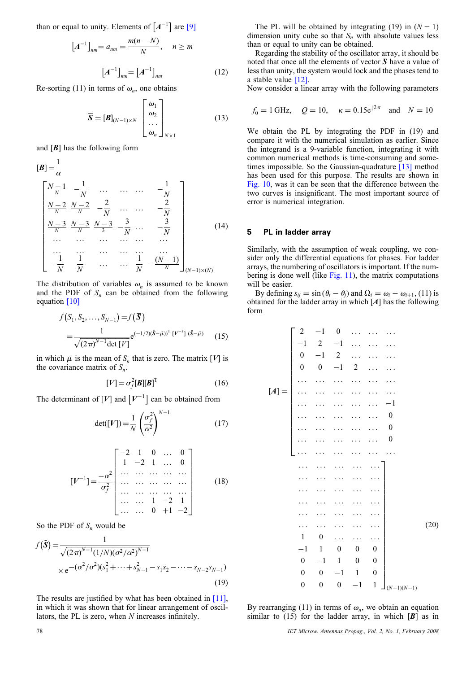than or equal to unity. Elements of  $[A^{-1}]$  are [9]

$$
[A^{-1}]_{nm} = a_{nm} = \frac{m(n-N)}{N}, \quad n \ge m
$$

$$
[A^{-1}]_{mn} = [A^{-1}]_{nm}
$$
(12)

Re-sorting (11) in terms of  $\omega_n$ , one obtains

$$
\overline{\mathbf{S}} = [\mathbf{B}]_{(N-1)\times N} \begin{bmatrix} \omega_1 \\ \omega_2 \\ \cdots \\ \omega_n \end{bmatrix}_{N\times 1} \tag{13}
$$

and  $[B]$  has the following form

$$
[B] = \frac{1}{\alpha}
$$
\n
$$
\begin{bmatrix}\n\frac{N-1}{N} & -\frac{1}{N} & \cdots & \cdots & -\frac{1}{N} \\
\frac{N-2}{N} & \frac{N-2}{N} & -\frac{2}{N} & \cdots & \cdots & -\frac{2}{N} \\
\frac{N-3}{N} & \frac{N-3}{N} & \frac{N-3}{3} & -\frac{3}{N} & \cdots & -\frac{3}{N} \\
\cdots & \cdots & \cdots & \cdots & \cdots & \cdots \\
\frac{1}{N} & -\frac{1}{N} & \frac{1}{N} & \cdots & \cdots & \frac{1}{N} & -\frac{(N-1)}{N}\n\end{bmatrix}
$$
\n(14)

The distribution of variables  $\omega_n$  is assumed to be known and the PDF of  $S_n$  can be obtained from the following equation [10]

$$
f(S_1, S_2, \dots, S_{N-1}) = f(\overline{\mathbf{S}})
$$
  
=  $\frac{1}{\sqrt{(2\pi)^{N-1} \det [V]}} e^{(-1/2)(\overline{\mathbf{S}} - \overline{\mu})^T [V^{-1}](\overline{\mathbf{S}} - \overline{\mu})}$  (15)

in which  $\bar{\mu}$  is the mean of  $S_n$  that is zero. The matrix [V] is the covariance matrix of  $S_n$ .

$$
[V] = \sigma_f^2[B][B]^T \tag{16}
$$

The determinant of  $[V]$  and  $[V^{-1}]$  can be obtained from

$$
\det([V]) = \frac{1}{N} \left(\frac{\sigma_f^2}{\alpha^2}\right)^{N-1} \tag{17}
$$

$$
\begin{bmatrix} V^{-1} \end{bmatrix} = \frac{-\alpha^2}{\sigma_f^2} \begin{bmatrix} -2 & 1 & 0 & \dots & 0 \\ 1 & -2 & 1 & \dots & 0 \\ \dots & \dots & \dots & \dots & \dots \\ \dots & \dots & \dots & \dots & \dots \\ \dots & \dots & \dots & \dots & \dots \\ \dots & \dots & 1 & -2 & 1 \\ \dots & \dots & 0 & +1 & -2 \end{bmatrix}
$$
 (18)

So the PDF of  $S_n$  would be

$$
f(\bar{\mathbf{S}}) = \frac{1}{\sqrt{(2\pi)^{N-1}(1/N)(\sigma^2/\alpha^2)^{N-1}}}
$$
  
× e<sup>-(\alpha^2/\sigma^2)(s\_1^2 + \dots + s\_{N-1}^2 - s\_1s\_2 - \dots - s\_{N-2}s\_{N-1})</sup> (19)

The results are justified by what has been obtained in [11], in which it was shown that for linear arrangement of oscillators, the PL is zero, when N increases infinitely.

The PL will be obtained by integrating (19) in  $(N - 1)$ dimension unity cube so that  $S_n$  with absolute values less than or equal to unity can be obtained.

Regarding the stability of the oscillator array, it should be noted that once all the elements of vector  $S$  have a value of less than unity, the system would lock and the phases tend to a stable value [12].

Now consider a linear array with the following parameters

$$
f_0 = 1 \text{ GHz}, \quad Q = 10, \quad \kappa = 0.15 e^{j2\pi} \text{ and } N = 10
$$

We obtain the PL by integrating the PDF in (19) and compare it with the numerical simulation as earlier. Since the integrand is a 9-variable function, integrating it with common numerical methods is time-consuming and sometimes impossible. So the Gaussian-quadrature  $[13]$  method has been used for this purpose. The results are shown in Fig. 10, was it can be seen that the difference between the two curves is insignificant. The most important source of error is numerical integration.

#### 5 PL in ladder array

Similarly, with the assumption of weak coupling, we consider only the differential equations for phases. For ladder arrays, the numbering of oscillators is important. If the numbering is done well (like Fig. 11), the matrix computations will be easier.

By defining  $s_{ii} = \sin(\theta_i - \theta_i)$  and  $\Omega_i = \omega_i - \omega_{i+1}$ , (11) is obtained for the ladder array in which  $[A]$  has the following form

$$
[A] = \begin{bmatrix} 2 & -1 & 0 & \cdots & \cdots & \cdots \\ -1 & 2 & -1 & \cdots & \cdots & \cdots \\ 0 & -1 & 2 & \cdots & \cdots & \cdots \\ \cdots & \cdots & \cdots & \cdots & \cdots & \cdots \\ \cdots & \cdots & \cdots & \cdots & \cdots & \cdots \\ \cdots & \cdots & \cdots & \cdots & \cdots & \cdots \\ \cdots & \cdots & \cdots & \cdots & \cdots & 0 \\ \cdots & \cdots & \cdots & \cdots & \cdots & 0 \\ \cdots & \cdots & \cdots & \cdots & \cdots & \cdots \\ \cdots & \cdots & \cdots & \cdots & \cdots & \cdots \\ \cdots & \cdots & \cdots & \cdots & \cdots & \cdots \\ \cdots & \cdots & \cdots & \cdots & \cdots & \cdots \\ \cdots & \cdots & \cdots & \cdots & \cdots & \cdots \\ \cdots & \cdots & \cdots & \cdots & \cdots & \cdots \\ \cdots & \cdots & \cdots & \cdots & \cdots & \cdots \\ \cdots & \cdots & \cdots & \cdots & \cdots & \cdots \\ \cdots & \cdots & \cdots & \cdots & \cdots & \cdots \\ \cdots & \cdots & \cdots & \cdots & \cdots & \cdots \\ \cdots & \cdots & \cdots & \cdots & \cdots & \cdots \\ \cdots & \cdots & \cdots & \cdots & \cdots & \cdots \\ \cdots & \cdots & \cdots & \cdots & \cdots & \cdots \\ \cdots & \cdots & \cdots & \cdots & \cdots & \cdots \\ \cdots & \cdots & \cdots & \cdots & \cdots & \cdots \\ \cdots & \cdots & \cdots & \cdots & \cdots & \cdots \\ \cdots & \cdots & \cdots & \cdots & \cdots & \cdots \\ \cdots & \cdots & \cdots & \cdots & \cdots & \cdots \\ \cdots & \cdots & \cdots & \cdots & \cdots & \cdots \\ \cdots & \cdots & \cdots & \cdots & \cdots & \cdots \\ \cdots & \cdots & \cdots & \cdots & \cdots & \cdots \\ \cdots & \cdots & \cdots & \cdots & \cdots & \cdots \\ \cdots & \cdots & \cdots & \cdots & \cdots & \cdots \\ \cdots & \cdots & \cdots & \cdots &
$$

By rearranging (11) in terms of  $\omega_n$ , we obtain an equation similar to  $(15)$  for the ladder array, in which  $[B]$  as in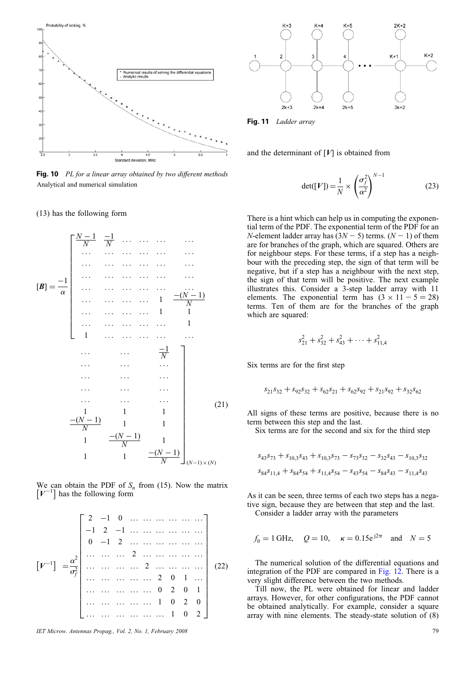

Fig. 10 PL for a linear array obtained by two different methods Analytical and numerical simulation

#### (13) has the following form

$$
[\mathbf{B}] = \frac{-1}{\alpha} \begin{bmatrix} \frac{N-1}{N} & \frac{-1}{N} & \cdots & \cdots & \cdots & \cdots \\ \cdots & \cdots & \cdots & \cdots & \cdots \\ \cdots & \cdots & \cdots & \cdots & \cdots \\ \cdots & \cdots & \cdots & \cdots & \cdots \\ \cdots & \cdots & \cdots & \cdots & 1 & \frac{-(N-1)}{N} \\ \cdots & \cdots & \cdots & \cdots & 1 & 1 \\ 1 & \cdots & \cdots & \cdots & \cdots & 1 \\ \cdots & \cdots & \cdots & \cdots & \cdots & \cdots \\ \cdots & \cdots & \cdots & \cdots & \cdots & \cdots \\ \cdots & \cdots & \cdots & \cdots & \cdots & \cdots \\ \cdots & \cdots & \cdots & \cdots & \cdots & \cdots \\ \cdots & \cdots & \cdots & \cdots & \cdots & \cdots \\ \cdots & \cdots & \cdots & \cdots & \cdots & \cdots \\ \cdots & \cdots & \cdots & \cdots & \cdots & \cdots \\ \cdots & \cdots & \cdots & \cdots & \cdots & \cdots \\ \cdots & \cdots & \cdots & \cdots & \cdots & \cdots \\ \cdots & \cdots & \cdots & \cdots & \cdots & \cdots \\ \cdots & \cdots & \cdots & \cdots & \cdots & \cdots \\ \cdots & \cdots & \cdots & \cdots & \cdots & \cdots \\ \cdots & \cdots & \cdots & \cdots & \cdots & \cdots \\ \cdots & \cdots & \cdots & \cdots & \cdots & \cdots \\ \cdots & \cdots & \cdots & \cdots & \cdots & \cdots \\ \cdots & \cdots & \cdots & \cdots & \cdots & \cdots \\ \cdots & \cdots & \cdots & \cdots & \cdots & \cdots \\ \cdots & \cdots & \cdots & \cdots & \cdots & \cdots \\ \cdots & \cdots & \cdots & \cdots & \cdots & \cdots \\ \cdots & \cdots & \cdots & \cdots & \cdots & \cdots \\ \cdots & \cdots & \cdots & \cdots & \cdots & \cdots \\ \cdots & \cdots & \cdots & \cdots & \cdots & \cdots \\ \cdots & \cdots & \cdots & \cdots & \cdots & \cdots \\ \cdots & \cdots & \cdots & \cdots & \
$$

We can obtain the PDF of  $S_n$  from (15). Now the matrix  $[V^{-1}]$  has the following form



IET Microw. Antennas Propag., Vol. 2, No. 1, February 2008 79



Fig. 11 Ladder array

and the determinant of  $[V]$  is obtained from

$$
\det([V]) = \frac{1}{N} \times \left(\frac{\sigma_f^2}{\alpha^2}\right)^{N-1} \tag{23}
$$

There is a hint which can help us in computing the exponential term of the PDF. The exponential term of the PDF for an N-element ladder array has  $(3N - 5)$  terms.  $(N - 1)$  of them are for branches of the graph, which are squared. Others are for neighbour steps. For these terms, if a step has a neighbour with the preceding step, the sign of that term will be negative, but if a step has a neighbour with the next step, the sign of that term will be positive. The next example illustrates this. Consider a 3-step ladder array with 11 elements. The exponential term has  $(3 \times 11 - 5 = 28)$ terms. Ten of them are for the branches of the graph which are squared:

$$
s_{21}^2 + s_{32}^2 + s_{43}^2 + \dots + s_{11,4}^2
$$

Six terms are for the first step

$$
s_{21}s_{32} + s_{92}s_{32} + s_{62}s_{21} + s_{62}s_{92} + s_{21}s_{92} + s_{32}s_{62}
$$

All signs of these terms are positive, because there is no term between this step and the last.

Six terms are for the second and six for the third step

$$
s_{43}s_{73} + s_{10,3}s_{43} + s_{10,3}s_{73} - s_{73}s_{32} - s_{32}s_{43} - s_{10,3}s_{32}
$$
  

$$
s_{84}s_{11,4} + s_{84}s_{54} + s_{11,4}s_{54} - s_{43}s_{54} - s_{84}s_{43} - s_{11,4}s_{43}
$$

As it can be seen, three terms of each two steps has a negative sign, because they are between that step and the last. Consider a ladder array with the parameters

$$
f_0 = 1 \text{ GHz}, \quad Q = 10, \quad \kappa = 0.15 e^{j2\pi} \quad \text{and} \quad N = 5
$$

The numerical solution of the differential equations and integration of the PDF are compared in Fig. 12. There is a very slight difference between the two methods.

Till now, the PL were obtained for linear and ladder arrays. However, for other configurations, the PDF cannot be obtained analytically. For example, consider a square array with nine elements. The steady-state solution of (8)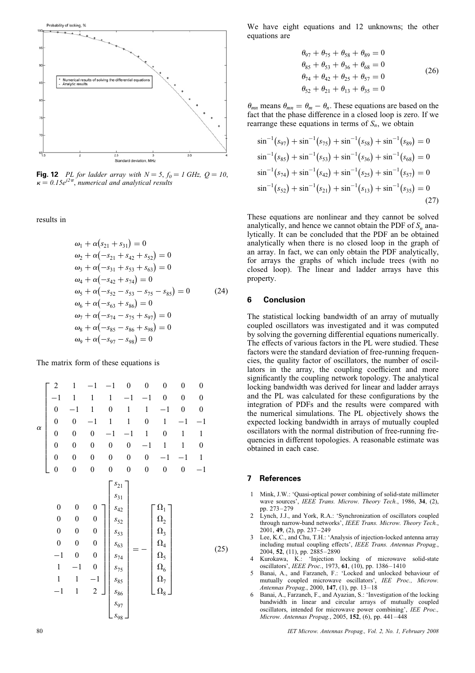

**Fig. 12** PL for ladder array with  $N = 5$ ,  $f_0 = 1$  GHz,  $Q = 10$ ,  $\kappa = 0.15e^{j2\pi}$ , numerical and analytical results

results in

$$
\omega_1 + \alpha(s_{21} + s_{31}) = 0
$$
  
\n
$$
\omega_2 + \alpha(-s_{21} + s_{42} + s_{52}) = 0
$$
  
\n
$$
\omega_3 + \alpha(-s_{31} + s_{53} + s_{63}) = 0
$$
  
\n
$$
\omega_4 + \alpha(-s_{42} + s_{74}) = 0
$$
  
\n
$$
\omega_5 + \alpha(-s_{52} - s_{53} - s_{75} - s_{85}) = 0
$$
 (24)  
\n
$$
\omega_6 + \alpha(-s_{63} + s_{86}) = 0
$$
  
\n
$$
\omega_7 + \alpha(-s_{74} - s_{75} + s_{97}) = 0
$$
  
\n
$$
\omega_8 + \alpha(-s_{85} - s_{86} + s_{98}) = 0
$$
  
\n
$$
\omega_9 + \alpha(-s_{97} - s_{98}) = 0
$$

The matrix form of these equations is

$$
\alpha \begin{bmatrix}\n2 & 1 & -1 & -1 & 0 & 0 & 0 & 0 & 0 \\
-1 & 1 & 1 & 1 & -1 & -1 & 0 & 0 & 0 \\
0 & -1 & 1 & 0 & 1 & 1 & -1 & 0 & 0 \\
0 & 0 & -1 & 1 & 1 & 0 & 1 & -1 & -1 \\
0 & 0 & 0 & -1 & -1 & 1 & 0 & 1 & 1 \\
0 & 0 & 0 & 0 & 0 & -1 & 1 & 1 & 0 \\
0 & 0 & 0 & 0 & 0 & 0 & -1 & -1 & 1\n\end{bmatrix}
$$
\n
$$
\begin{bmatrix}\ns_{21} \\
s_{31} \\
0 & 0 & 0 \\
0 & 0 & 0\n\end{bmatrix}\n\begin{bmatrix}\ns_{21} \\
s_{32} \\
s_{42} \\
s_{53} \\
0 & 0 & 0\n\end{bmatrix}\n\begin{bmatrix}\n\Omega_1 \\
\Omega_2 \\
\Omega_3 \\
\Omega_4 \\
\Omega_5 \\
\Omega_6 \\
1 & -1 & 0 & 0\n\end{bmatrix}
$$
\n
$$
\begin{bmatrix}\n\Omega_1 \\
s_{31} \\
s_{63} \\
0 & 0 & 0 \\
s_{74} \\
1 & 1 & -1\n\end{bmatrix}\n\begin{bmatrix}\n\Omega_2 \\
s_{63} \\
s_{74} \\
s_{85} \\
0 & 0 \\
s_{86} \\
s_{97}\n\end{bmatrix} = -\begin{bmatrix}\n\Omega_1 \\
\Omega_2 \\
\Omega_3 \\
\Omega_4 \\
\Omega_5 \\
\Omega_6 \\
\Omega_7 \\
\Omega_8\n\end{bmatrix}
$$
\n(25)

We have eight equations and 12 unknowns; the other equations are

$$
\theta_{97} + \theta_{75} + \theta_{58} + \theta_{89} = 0
$$
  
\n
$$
\theta_{85} + \theta_{53} + \theta_{36} + \theta_{68} = 0
$$
  
\n
$$
\theta_{74} + \theta_{42} + \theta_{25} + \theta_{57} = 0
$$
  
\n
$$
\theta_{52} + \theta_{21} + \theta_{13} + \theta_{35} = 0
$$
\n(26)

 $\theta_{mn}$  means  $\theta_{mn} = \theta_m - \theta_n$ . These equations are based on the fact that the phase difference in a closed loop is zero. If we rearrange these equations in terms of  $S_n$ , we obtain

$$
\sin^{-1}(s_{97}) + \sin^{-1}(s_{75}) + \sin^{-1}(s_{58}) + \sin^{-1}(s_{89}) = 0
$$
  
\n
$$
\sin^{-1}(s_{85}) + \sin^{-1}(s_{53}) + \sin^{-1}(s_{36}) + \sin^{-1}(s_{68}) = 0
$$
  
\n
$$
\sin^{-1}(s_{74}) + \sin^{-1}(s_{42}) + \sin^{-1}(s_{25}) + \sin^{-1}(s_{57}) = 0
$$
  
\n
$$
\sin^{-1}(s_{52}) + \sin^{-1}(s_{21}) + \sin^{-1}(s_{13}) + \sin^{-1}(s_{35}) = 0
$$
\n(27)

These equations are nonlinear and they cannot be solved analytically, and hence we cannot obtain the PDF of  $S_n$  analytically. It can be concluded that the PDF an be obtained analytically when there is no closed loop in the graph of an array. In fact, we can only obtain the PDF analytically, for arrays the graphs of which include trees (with no closed loop). The linear and ladder arrays have this property.

## 6 Conclusion

The statistical locking bandwidth of an array of mutually coupled oscillators was investigated and it was computed by solving the governing differential equations numerically. The effects of various factors in the PL were studied. These factors were the standard deviation of free-running frequencies, the quality factor of oscillators, the number of oscillators in the array, the coupling coefficient and more significantly the coupling network topology. The analytical locking bandwidth was derived for linear and ladder arrays and the PL was calculated for these configurations by the integration of PDFs and the results were compared with the numerical simulations. The PL objectively shows the expected locking bandwidth in arrays of mutually coupled oscillators with the normal distribution of free-running frequencies in different topologies. A reasonable estimate was obtained in each case.

#### 7 References

- 1 Mink, J.W.: 'Quasi-optical power combining of solid-state millimeter wave sources', IEEE Trans. Microw. Theory Tech., 1986, 34, (2), pp. 273–279
- Lynch, J.J., and York, R.A.: 'Synchronization of oscillators coupled through narrow-band networks', IEEE Trans. Microw. Theory Tech., 2001, 49, (2), pp. 237 –249
- Lee, K.C., and Chu, T.H.: 'Analysis of injection-locked antenna array including mutual coupling effects', IEEE Trans. Antennas Propag., 2004, 52, (11), pp. 2885-2890
- 4 Kurokawa, K.: 'Injection locking of microwave solid-state oscillators<sup>'</sup>, IEEE Proc., 1973, 61, (10), pp. 1386-1410
- 5 Banai, A., and Farzaneh, F.: 'Locked and unlocked behaviour of mutually coupled microwave oscillators', IEE Proc., Microw. Antennas Propag., 2000, 147, (1), pp. 13–18
- Banai, A., Farzaneh, F., and Ayazian, S.: 'Investigation of the locking bandwidth in linear and circular arrays of mutually coupled oscillators, intended for microwave power combining', IEE Proc., Microw. Antennas Propag., 2005, 152, (6), pp. 441-448

80 IET Microw. Antennas Propag., Vol. 2, No. 1, February 2008